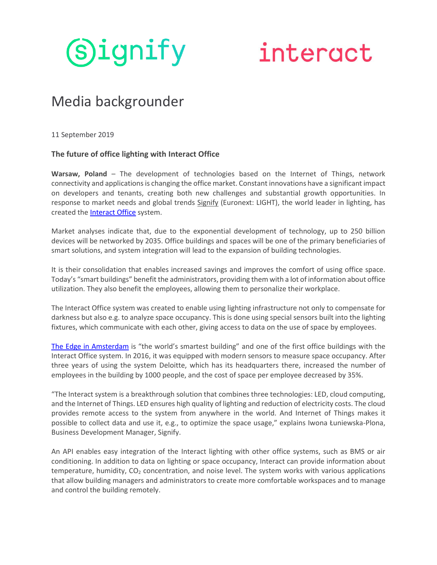

## interact

## Media backgrounder

11 September 2019

## **The future of office lighting with Interact Office**

**Warsaw, Poland** – The development of technologies based on the Internet of Things, network connectivity and applications is changing the office market. Constant innovations have a significant impact on developers and tenants, creating both new challenges and substantial growth opportunities. In response to market needs and global trends [Signify](https://www.signify.com/pl-pl/) (Euronext: LIGHT), the world leader in lighting, has created the [Interact](https://www.interact-lighting.com/pl-pl/what-is-possible/interact-office) Office system.

Market analyses indicate that, due to the exponential development of technology, up to 250 billion devices will be networked by 2035. Office buildings and spaces will be one of the primary beneficiaries of smart solutions, and system integration will lead to the expansion of building technologies.

It is their consolidation that enables increased savings and improves the comfort of using office space. Today's "smart buildings" benefit the administrators, providing them with a lot of information about office utilization. They also benefit the employees, allowing them to personalize their workplace.

The Interact Office system was created to enable using lighting infrastructure not only to compensate for darkness but also e.g. to analyze space occupancy. This is done using special sensors built into the lighting fixtures, which communicate with each other, giving access to data on the use of space by employees.

[The Edge in](https://www.interact-lighting.com/global/customer-stories/the-edge) Amsterdam is "the world's smartest building" and one of the first office buildings with the Interact Office system. In 2016, it was equipped with modern sensors to measure space occupancy. After three years of using the system Deloitte, which has its headquarters there, increased the number of employees in the building by 1000 people, and the cost of space per employee decreased by 35%.

"The Interact system is a breakthrough solution that combines three technologies: LED, cloud computing, and the Internet of Things. LED ensures high quality of lighting and reduction of electricity costs. The cloud provides remote access to the system from anywhere in the world. And Internet of Things makes it possible to collect data and use it, e.g., to optimize the space usage," explains Iwona Łuniewska-Plona, Business Development Manager, Signify.

An API enables easy integration of the Interact lighting with other office systems, such as BMS or air conditioning. In addition to data on lighting or space occupancy, Interact can provide information about temperature, humidity, CO<sub>2</sub> concentration, and noise level. The system works with various applications that allow building managers and administrators to create more comfortable workspaces and to manage and control the building remotely.